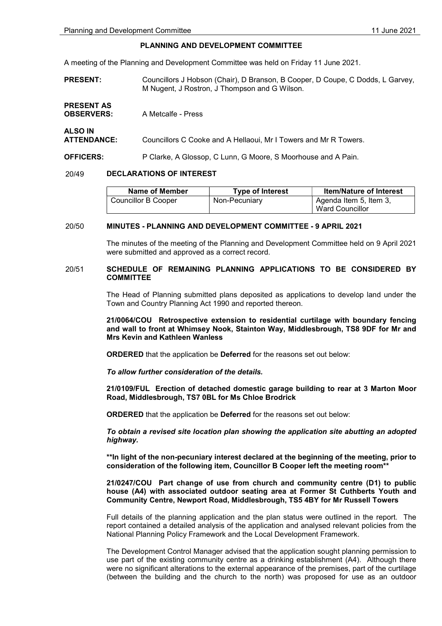PRESENT AS

ALSO IN

## PLANNING AND DEVELOPMENT COMMITTEE

A meeting of the Planning and Development Committee was held on Friday 11 June 2021.

PRESENT: Councillors J Hobson (Chair), D Branson, B Cooper, D Coupe, C Dodds, L Garvey, M Nugent, J Rostron, J Thompson and G Wilson.

| <b>OBSERVERS:</b> | A Metcalfe - Press |  |
|-------------------|--------------------|--|
|                   |                    |  |

ATTENDANCE: Councillors C Cooke and A Hellaoui, Mr I Towers and Mr R Towers.

OFFICERS: P Clarke, A Glossop, C Lunn, G Moore, S Moorhouse and A Pain.

## 20/49 DECLARATIONS OF INTEREST

| Name of Member      | <b>Type of Interest</b> | <b>Item/Nature of Interest</b> |
|---------------------|-------------------------|--------------------------------|
| Councillor B Cooper | Non-Pecuniary           | Agenda Item 5, Item 3,         |
|                     |                         | Ward Councillor                |

### 20/50 MINUTES - PLANNING AND DEVELOPMENT COMMITTEE - 9 APRIL 2021

 The minutes of the meeting of the Planning and Development Committee held on 9 April 2021 were submitted and approved as a correct record.

### 20/51 SCHEDULE OF REMAINING PLANNING APPLICATIONS TO BE CONSIDERED BY **COMMITTEE**

 The Head of Planning submitted plans deposited as applications to develop land under the Town and Country Planning Act 1990 and reported thereon.

21/0064/COU Retrospective extension to residential curtilage with boundary fencing and wall to front at Whimsey Nook, Stainton Way, Middlesbrough, TS8 9DF for Mr and Mrs Kevin and Kathleen Wanless

ORDERED that the application be Deferred for the reasons set out below:

To allow further consideration of the details.

21/0109/FUL Erection of detached domestic garage building to rear at 3 Marton Moor Road, Middlesbrough, TS7 0BL for Ms Chloe Brodrick

ORDERED that the application be Deferred for the reasons set out below:

To obtain a revised site location plan showing the application site abutting an adopted highway.

\*\*In light of the non-pecuniary interest declared at the beginning of the meeting, prior to consideration of the following item, Councillor B Cooper left the meeting room\*\*

### 21/0247/COU Part change of use from church and community centre (D1) to public house (A4) with associated outdoor seating area at Former St Cuthberts Youth and Community Centre, Newport Road, Middlesbrough, TS5 4BY for Mr Russell Towers

Full details of the planning application and the plan status were outlined in the report. The report contained a detailed analysis of the application and analysed relevant policies from the National Planning Policy Framework and the Local Development Framework.

The Development Control Manager advised that the application sought planning permission to use part of the existing community centre as a drinking establishment (A4). Although there were no significant alterations to the external appearance of the premises, part of the curtilage (between the building and the church to the north) was proposed for use as an outdoor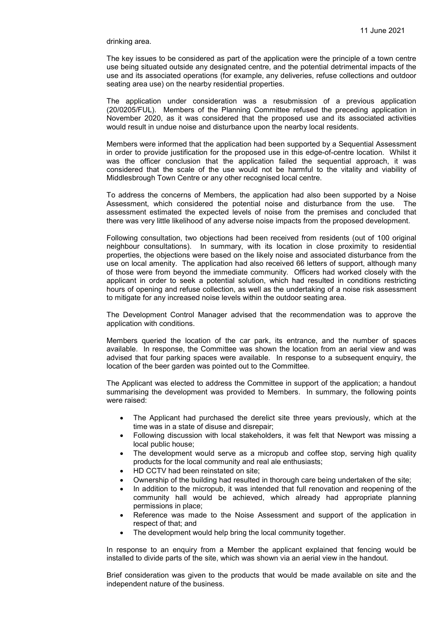#### drinking area.

The key issues to be considered as part of the application were the principle of a town centre use being situated outside any designated centre, and the potential detrimental impacts of the use and its associated operations (for example, any deliveries, refuse collections and outdoor seating area use) on the nearby residential properties.

The application under consideration was a resubmission of a previous application (20/0205/FUL). Members of the Planning Committee refused the preceding application in November 2020, as it was considered that the proposed use and its associated activities would result in undue noise and disturbance upon the nearby local residents.

Members were informed that the application had been supported by a Sequential Assessment in order to provide justification for the proposed use in this edge-of-centre location. Whilst it was the officer conclusion that the application failed the sequential approach, it was considered that the scale of the use would not be harmful to the vitality and viability of Middlesbrough Town Centre or any other recognised local centre.

To address the concerns of Members, the application had also been supported by a Noise Assessment, which considered the potential noise and disturbance from the use. The assessment estimated the expected levels of noise from the premises and concluded that there was very little likelihood of any adverse noise impacts from the proposed development.

Following consultation, two objections had been received from residents (out of 100 original neighbour consultations). In summary, with its location in close proximity to residential properties, the objections were based on the likely noise and associated disturbance from the use on local amenity. The application had also received 66 letters of support, although many of those were from beyond the immediate community. Officers had worked closely with the applicant in order to seek a potential solution, which had resulted in conditions restricting hours of opening and refuse collection, as well as the undertaking of a noise risk assessment to mitigate for any increased noise levels within the outdoor seating area.

The Development Control Manager advised that the recommendation was to approve the application with conditions.

Members queried the location of the car park, its entrance, and the number of spaces available. In response, the Committee was shown the location from an aerial view and was advised that four parking spaces were available. In response to a subsequent enquiry, the location of the beer garden was pointed out to the Committee.

The Applicant was elected to address the Committee in support of the application; a handout summarising the development was provided to Members. In summary, the following points were raised:

- The Applicant had purchased the derelict site three years previously, which at the time was in a state of disuse and disrepair;
- Following discussion with local stakeholders, it was felt that Newport was missing a local public house;
- The development would serve as a micropub and coffee stop, serving high quality products for the local community and real ale enthusiasts;
- HD CCTV had been reinstated on site;
- Ownership of the building had resulted in thorough care being undertaken of the site;
- In addition to the micropub, it was intended that full renovation and reopening of the community hall would be achieved, which already had appropriate planning permissions in place;
- Reference was made to the Noise Assessment and support of the application in respect of that; and
- The development would help bring the local community together.

In response to an enquiry from a Member the applicant explained that fencing would be installed to divide parts of the site, which was shown via an aerial view in the handout.

Brief consideration was given to the products that would be made available on site and the independent nature of the business.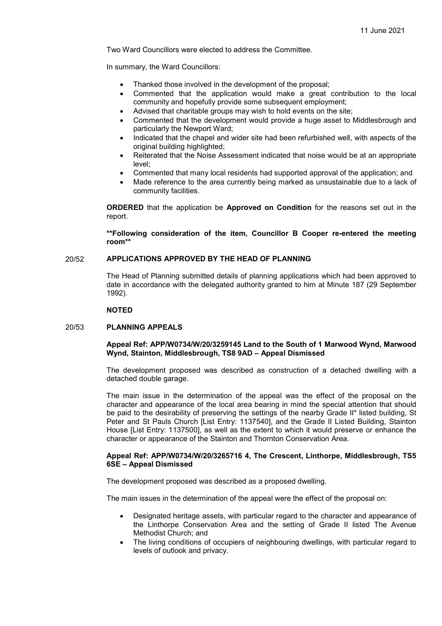Two Ward Councillors were elected to address the Committee.

In summary, the Ward Councillors:

- Thanked those involved in the development of the proposal;
- Commented that the application would make a great contribution to the local community and hopefully provide some subsequent employment;
- Advised that charitable groups may wish to hold events on the site;
- Commented that the development would provide a huge asset to Middlesbrough and particularly the Newport Ward;
- Indicated that the chapel and wider site had been refurbished well, with aspects of the original building highlighted;
- Reiterated that the Noise Assessment indicated that noise would be at an appropriate level;
- Commented that many local residents had supported approval of the application; and
- Made reference to the area currently being marked as unsustainable due to a lack of community facilities.

ORDERED that the application be Approved on Condition for the reasons set out in the report.

\*\*Following consideration of the item, Councillor B Cooper re-entered the meeting room\*\*

## 20/52 APPLICATIONS APPROVED BY THE HEAD OF PLANNING

 The Head of Planning submitted details of planning applications which had been approved to date in accordance with the delegated authority granted to him at Minute 187 (29 September 1992).

#### NOTED

### 20/53 PLANNING APPEALS

### Appeal Ref: APP/W0734/W/20/3259145 Land to the South of 1 Marwood Wynd, Marwood Wynd, Stainton, Middlesbrough, TS8 9AD – Appeal Dismissed

The development proposed was described as construction of a detached dwelling with a detached double garage.

The main issue in the determination of the appeal was the effect of the proposal on the character and appearance of the local area bearing in mind the special attention that should be paid to the desirability of preserving the settings of the nearby Grade II\* listed building, St Peter and St Pauls Church [List Entry: 1137540], and the Grade II Listed Building, Stainton House [List Entry: 1137500], as well as the extent to which it would preserve or enhance the character or appearance of the Stainton and Thornton Conservation Area.

### Appeal Ref: APP/W0734/W/20/3265716 4, The Crescent, Linthorpe, Middlesbrough, TS5 6SE – Appeal Dismissed

The development proposed was described as a proposed dwelling.

The main issues in the determination of the appeal were the effect of the proposal on:

- Designated heritage assets, with particular regard to the character and appearance of the Linthorpe Conservation Area and the setting of Grade II listed The Avenue Methodist Church; and
- The living conditions of occupiers of neighbouring dwellings, with particular regard to levels of outlook and privacy.